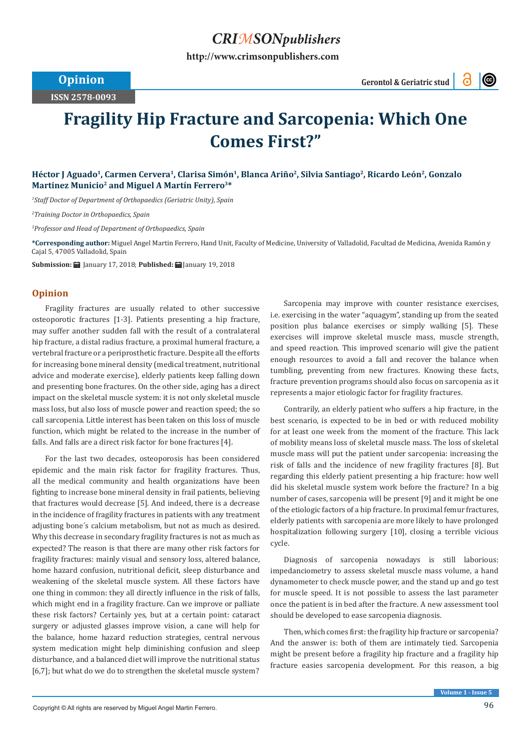## *CRIMSONpublishers*

**[http://www.crimsonpublishers.com](http://crimsonpublishers.com)**

**ISSN 2578-0093**

 $\circledcirc$ 

## **Fragility Hip Fracture and Sarcopenia: Which One Comes First?"**

Héctor J Aguado<sup>1</sup>, Carmen Cervera<sup>1</sup>, Clarisa Simón<sup>1</sup>, Blanca Ariño<sup>2</sup>, Silvia Santiago<sup>2</sup>, Ricardo León<sup>2</sup>, Gonzalo Martinez Municio<sup>2</sup> and Miguel A Martín Ferrero<sup>3\*</sup>

*1 Staff Doctor of Department of Orthopaedics (Geriatric Unity), Spain*

*2 Training Doctor in Orthopaedics, Spain*

*3 Professor and Head of Department of Orthopaedics, Spain*

**\*Corresponding author:** Miguel Angel Martin Ferrero, Hand Unit, Faculty of Medicine, University of Valladolid, Facultad de Medicina, Avenida Ramón y Cajal 5, 47005 Valladolid, Spain

**Submission:** January 17, 2018; **Published:** January 19, 2018

## **Opinion**

Fragility fractures are usually related to other successive osteoporotic fractures [1-3]. Patients presenting a hip fracture, may suffer another sudden fall with the result of a contralateral hip fracture, a distal radius fracture, a proximal humeral fracture, a vertebral fracture or a periprosthetic fracture. Despite all the efforts for increasing bone mineral density (medical treatment, nutritional advice and moderate exercise), elderly patients keep falling down and presenting bone fractures. On the other side, aging has a direct impact on the skeletal muscle system: it is not only skeletal muscle mass loss, but also loss of muscle power and reaction speed; the so call sarcopenia. Little interest has been taken on this loss of muscle function, which might be related to the increase in the number of falls. And falls are a direct risk factor for bone fractures [4].

For the last two decades, osteoporosis has been considered epidemic and the main risk factor for fragility fractures. Thus, all the medical community and health organizations have been fighting to increase bone mineral density in frail patients, believing that fractures would decrease [5]. And indeed, there is a decrease in the incidence of fragility fractures in patients with any treatment adjusting bone´s calcium metabolism, but not as much as desired. Why this decrease in secondary fragility fractures is not as much as expected? The reason is that there are many other risk factors for fragility fractures: mainly visual and sensory loss, altered balance, home hazard confusion, nutritional deficit, sleep disturbance and weakening of the skeletal muscle system. All these factors have one thing in common: they all directly influence in the risk of falls, which might end in a fragility fracture. Can we improve or palliate these risk factors? Certainly yes, but at a certain point: cataract surgery or adjusted glasses improve vision, a cane will help for the balance, home hazard reduction strategies, central nervous system medication might help diminishing confusion and sleep disturbance, and a balanced diet will improve the nutritional status [6,7]; but what do we do to strengthen the skeletal muscle system?

Sarcopenia may improve with counter resistance exercises, i.e. exercising in the water "aquagym", standing up from the seated position plus balance exercises or simply walking [5]. These exercises will improve skeletal muscle mass, muscle strength, and speed reaction. This improved scenario will give the patient enough resources to avoid a fall and recover the balance when tumbling, preventing from new fractures. Knowing these facts, fracture prevention programs should also focus on sarcopenia as it represents a major etiologic factor for fragility fractures.

Contrarily, an elderly patient who suffers a hip fracture, in the best scenario, is expected to be in bed or with reduced mobility for at least one week from the moment of the fracture. This lack of mobility means loss of skeletal muscle mass. The loss of skeletal muscle mass will put the patient under sarcopenia: increasing the risk of falls and the incidence of new fragility fractures [8]. But regarding this elderly patient presenting a hip fracture: how well did his skeletal muscle system work before the fracture? In a big number of cases, sarcopenia will be present [9] and it might be one of the etiologic factors of a hip fracture. In proximal femur fractures, elderly patients with sarcopenia are more likely to have prolonged hospitalization following surgery [10], closing a terrible vicious cycle.

Diagnosis of sarcopenia nowadays is still laborious: impedanciometry to assess skeletal muscle mass volume, a hand dynamometer to check muscle power, and the stand up and go test for muscle speed. It is not possible to assess the last parameter once the patient is in bed after the fracture. A new assessment tool should be developed to ease sarcopenia diagnosis.

Then, which comes first: the fragility hip fracture or sarcopenia? And the answer is: both of them are intimately tied. Sarcopenia might be present before a fragility hip fracture and a fragility hip fracture easies sarcopenia development. For this reason, a big